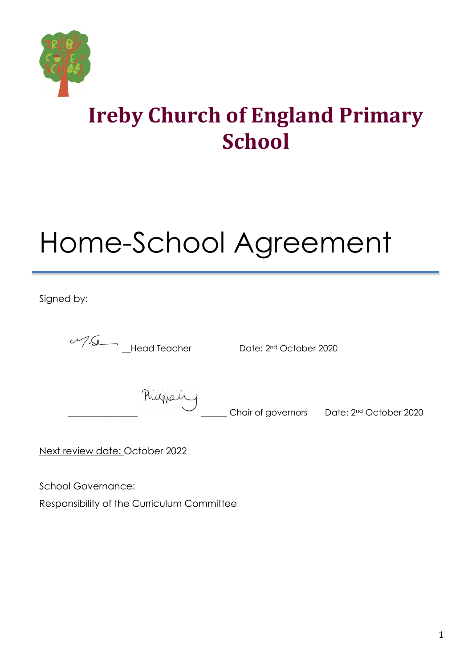

## **Ireby Church of England Primary School**

# Home-School Agreement

Signed by:

| 125 | <b>Head Teache</b> |
|-----|--------------------|
|     |                    |

er Date: 2<sup>nd</sup> October 2020

Rivinguing Chair of governors Date: 2<sup>nd</sup> October 2020

Next review date: October 2022

School Governance:

Responsibility of the Curriculum Committee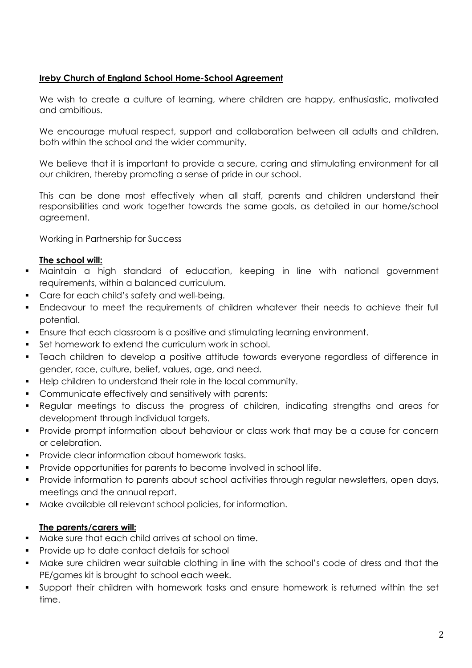### **Ireby Church of England School Home-School Agreement**

We wish to create a culture of learning, where children are happy, enthusiastic, motivated and ambitious.

We encourage mutual respect, support and collaboration between all adults and children, both within the school and the wider community.

We believe that it is important to provide a secure, caring and stimulating environment for all our children, thereby promoting a sense of pride in our school.

This can be done most effectively when all staff, parents and children understand their responsibilities and work together towards the same goals, as detailed in our home/school agreement.

Working in Partnership for Success

#### **The school will:**

- Maintain a high standard of education, keeping in line with national government requirements, within a balanced curriculum.
- Care for each child's safety and well-being.
- Endeavour to meet the requirements of children whatever their needs to achieve their full potential.
- Ensure that each classroom is a positive and stimulating learning environment.
- **Set homework to extend the curriculum work in school.**
- Teach children to develop a positive attitude towards everyone regardless of difference in gender, race, culture, belief, values, age, and need.
- **Help children to understand their role in the local community.**
- **Communicate effectively and sensitively with parents:**
- Regular meetings to discuss the progress of children, indicating strengths and areas for development through individual targets.
- **Provide prompt information about behaviour or class work that may be a cause for concern** or celebration.
- Provide clear information about homework tasks.
- Provide opportunities for parents to become involved in school life.
- **Provide information to parents about school activities through regular newsletters, open days,** meetings and the annual report.
- Make available all relevant school policies, for information.

#### **The parents/carers will:**

- Make sure that each child arrives at school on time.
- **Provide up to date contact details for school**
- Make sure children wear suitable clothing in line with the school's code of dress and that the PE/games kit is brought to school each week.
- Support their children with homework tasks and ensure homework is returned within the set time.